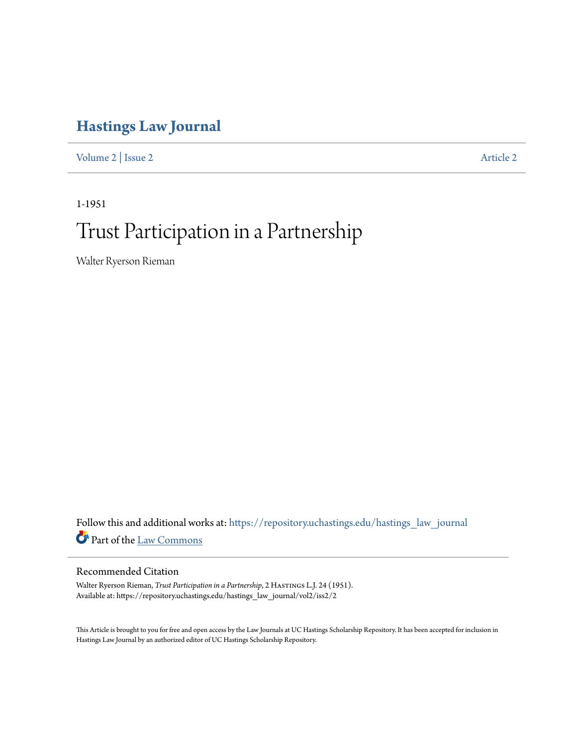# **[Hastings Law Journal](https://repository.uchastings.edu/hastings_law_journal?utm_source=repository.uchastings.edu%2Fhastings_law_journal%2Fvol2%2Fiss2%2F2&utm_medium=PDF&utm_campaign=PDFCoverPages)**

[Volume 2](https://repository.uchastings.edu/hastings_law_journal/vol2?utm_source=repository.uchastings.edu%2Fhastings_law_journal%2Fvol2%2Fiss2%2F2&utm_medium=PDF&utm_campaign=PDFCoverPages) | [Issue 2](https://repository.uchastings.edu/hastings_law_journal/vol2/iss2?utm_source=repository.uchastings.edu%2Fhastings_law_journal%2Fvol2%2Fiss2%2F2&utm_medium=PDF&utm_campaign=PDFCoverPages) [Article 2](https://repository.uchastings.edu/hastings_law_journal/vol2/iss2/2?utm_source=repository.uchastings.edu%2Fhastings_law_journal%2Fvol2%2Fiss2%2F2&utm_medium=PDF&utm_campaign=PDFCoverPages)

1-1951

# Trust Participation in a Partnership

Walter Ryerson Rieman

Follow this and additional works at: [https://repository.uchastings.edu/hastings\\_law\\_journal](https://repository.uchastings.edu/hastings_law_journal?utm_source=repository.uchastings.edu%2Fhastings_law_journal%2Fvol2%2Fiss2%2F2&utm_medium=PDF&utm_campaign=PDFCoverPages) Part of the [Law Commons](http://network.bepress.com/hgg/discipline/578?utm_source=repository.uchastings.edu%2Fhastings_law_journal%2Fvol2%2Fiss2%2F2&utm_medium=PDF&utm_campaign=PDFCoverPages)

# Recommended Citation

Walter Ryerson Rieman, *Trust Participation in a Partnership*, 2 HASTINGS L.J. 24 (1951). Available at: https://repository.uchastings.edu/hastings\_law\_journal/vol2/iss2/2

This Article is brought to you for free and open access by the Law Journals at UC Hastings Scholarship Repository. It has been accepted for inclusion in Hastings Law Journal by an authorized editor of UC Hastings Scholarship Repository.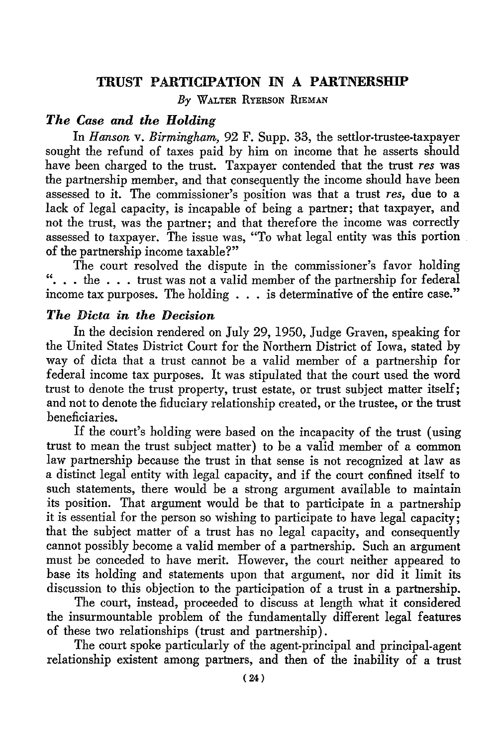#### TRUST PARTICIPATION **IN A** PARTNERSHIP

*By* WALTER RYERSON RIEMAN

#### *The Case and the Holding*

In *Hanson v. Birmingham,* 92 F. Supp. 33, the settlor-trustee-taxpayer sought the refund of taxes paid by him on income that he asserts should have been charged to the trust. Taxpayer contended that the trust *res* was the partnership member, and that consequently the income should have been assessed to it. The commissioner's position was that a trust *res,* due to a lack of legal capacity, is incapable of being a partner; that taxpayer, and not the trust, was the partner; and that therefore the income was correctly assessed to taxpayer. The issue was, "To what legal entity was this portion of the partnership income taxable?"

The court resolved the dispute in the commissioner's favor holding  $\cdot \cdot \cdot$  ... the ... trust was not a valid member of the partnership for federal income tax purposes. The holding . . . is determinative of the entire case."

## *The Dicta in the Decision*

In the decision rendered on July 29, 1950, Judge Graven, speaking for the United States District Court for the Northern District of Iowa, stated by way of dicta that a trust cannot be a valid member of a partnership for federal income tax purposes. It was stipulated that the court used the word trust to denote the trust property, trust estate, or trust subject matter itself; and not to denote the fiduciary relationship created, or the trustee, or the trust beneficiaries.

If the court's holding were based on the incapacity of the trust (using trust to mean the trust subject matter) to be a valid member of a common law partnership because the trust in that sense is not recognized at law as a distinct legal entity with legal capacity, and if the court confined itself to such statements, there would be a strong argument available to maintain its position. That argument would be that to participate in a partnership it is essential for the person so wishing to participate to have legal capacity; that the subject matter of a trust has no legal capacity, and consequently cannot possibly become a valid member of a partnership. Such an argument must be conceded to have merit. However, the court neither appeared to base its holding and statements upon that argument, nor did it limit its discussion to this objection to the participation of a trust in a partnership.

The court, instead, proceeded to discuss at length what it considered the insurmountable problem of the fundamentally different legal features of these two relationships (trust and partnership).

The court spoke particularly of the agent-principal and principal-agent relationship existent among partners, and then of the inability of a trust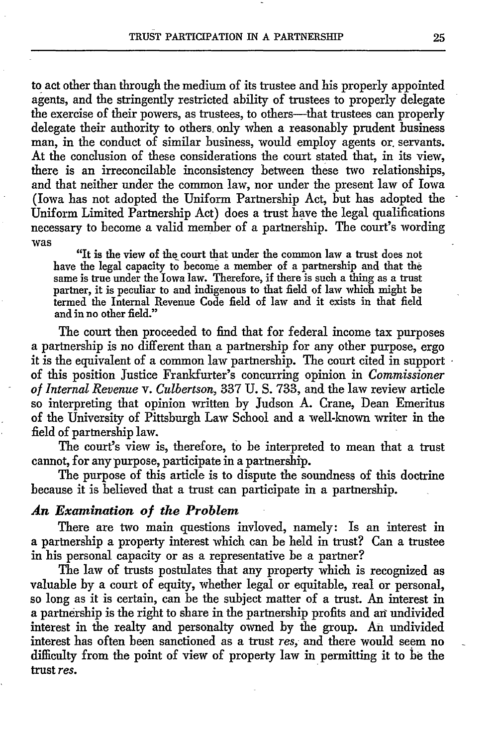to act other than through the medium of its trustee and his properly appointed agents, and the stringently restricted ability of trustees to properly delegate the exercise of their powers, as trustees, to others—that trustees can properly delegate their authority to others, only when a reasonably prudent business man, in the conduct of similar business, would employ agents or. servants. At the conclusion of these considerations the court stated that, in its view, there is an irreconcilable inconsistency between these two relationships, and that neither under the common law, nor under the present law of Iowa (Iowa has not adopted the Uniform Partnership Act, but has adopted the Uniform Limited Partnership Act) does a trust have the legal qualifications necessary to become a valid member of a partnership. The court's wording was

"It is the view of the court that under the common law a trust does not have the legal capacity to become a member of a partnership and that the same is true under the Iowa law. Therefore, if there is such a thing as a trust partner, it is peculiar to and indigenous to that field of law which might be termed the Internal Revenue Code field of law and it exists in that field and in no other field."

The court then proceeded to find that for federal income tax purposes a partnership is no different than a partnership for any other purpose, ergo it is the equivalent of a common law partnership. The court cited in support of this position Justice Frankfurter's concurring opinion in *Commissioner of Internal Revenue v. Culbertson,* 337 **U. S.** 733, and the law review article so interpreting that opinion written by Judson A. Crane, Dean Emeritus of the University of Pittsburgh Law School and a well-known writer in the field of partnership law.

The court's view is, therefore, to be interpreted to mean that a trust cannot, for any purpose, participate in a partnership.

The purpose of this article is to dispute the soundness of this doctrine because it is believed that a trust can participate in a partnership.

#### *An Examination of the Problem*

There are two main questions invloved, namely: Is an interest in a partnership a property interest which can be held in trust? Can a trustee in his personal capacity or as a representative be a partner?

The law of trusts postulates that any property which is recognized as valuable by a court of equity, whether legal or equitable, real or personal, so long as it is certain, can be the subject matter of a trust. An interest in a partnership is the right to share in the partnership profits and ari undivided interest in the realty and personalty owned by the group. An undivided interest has often been sanctioned as a trust *res,* and there would seem no difficulty from the point of view of property law in permitting it to be the trust *res.*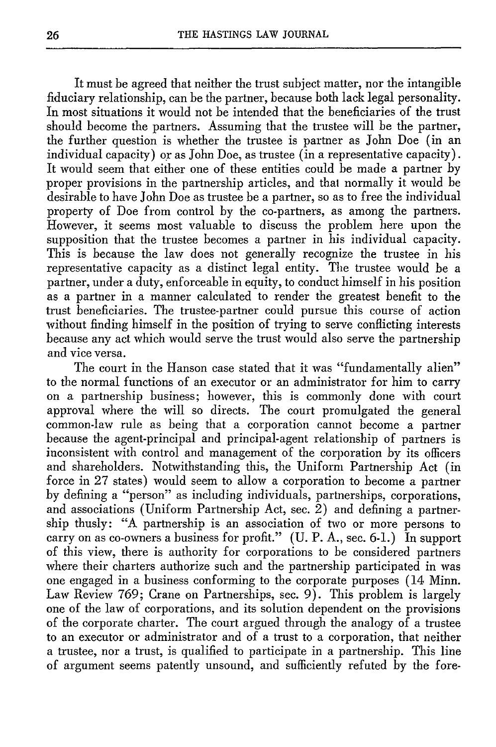It must be agreed that neither the trust subject matter, nor the intangible fiduciary relationship, can be the partner, because both lack legal personality. In most situations it would not be intended that the beneficiaries of the trust should become the partners. Assuming that the trustee will be the partner, the further question is whether the trustee is partner as John Doe (in an individual capacity) or as John Doe, as trustee (in a representative capacity). It would seem that either one of these entities could be made a partner by proper provisions in the partnership articles, and that normally it would be desirable to have John Doe as trustee be a partner, so as to free the individual property of Doe from control by the co-partners, as among the partners. However, it seems most valuable to discuss the problem here upon the supposition that the trustee becomes a partner in his individual capacity. This is because the law does not generally recognize the trustee in his representative capacity as a distinct legal entity. The trustee would be a partner, under a duty, enforceable in equity, to conduct himself in his position as a partner in a manner calculated to render the greatest benefit to the trust beneficiaries. The trustee-partner could pursue this course of action without finding himself in the position of trying to serve conflicting interests because any act which would serve the trust would also serve the partnership and vice versa.

The court in the Hanson case stated that it was "fundamentally alien" to the normal functions of an executor or an administrator for him to carry on a partnership business; however, this is commonly done with court approval where the will so directs. The court promulgated the general common-law rule as being that a corporation cannot become a partner because the agent-principal and principal-agent relationship of partners is inconsistent with control and management of the corporation by its officers and shareholders. Notwithstanding this, the Uniform Partnership Act (in force in 27 states) would seem to allow a corporation to become a partner by defining a "person" as including individuals, partnerships, corporations, and associations (Uniform Partnership Act, sec. 2) and defining a partnership thusly: "A partnership is an association of two or more persons to carry on as co-owners a business for profit." (U. P. A., sec. 6-1.) In support of this view, there is authority for corporations to be considered partners where their charters authorize such and the partnership participated in was one engaged in a business conforming to the corporate purposes (14 Minn. Law Review 769; Crane on Partnerships, sec. 9). This problem is largely one of the law of corporations, and its solution dependent on the provisions of the corporate charter. The court argued through the analogy of a trustee to an executor or administrator and of a trust to a corporation, that neither a trustee, nor a trust, is qualified to participate in a partnership. This line of argument seems patently unsound, and sufficiently refuted by the fore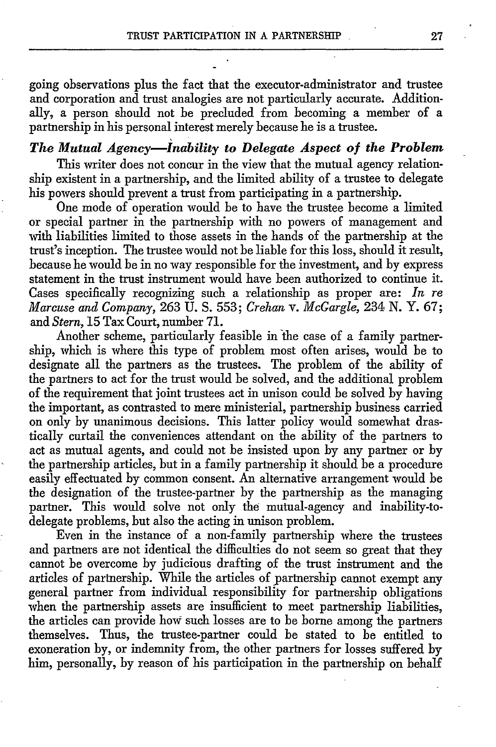going observations plus the fact that the executor-administrator and trustee and corporation and trust analogies are not particularly accurate. Additionally, a person should not be precluded from becoming a member of a partnership in his personal interest merely because he is a trustee.

#### *The Mutual Agency-Inability to Delegate Aspect of the Problem*

This writer does not concur in the view that the mutual agency relationship existent in a partnership, and the limited ability of a trustee to delegate his powers should prevent a trust from participating in a partnership.

One mode of operation would be to have the trustee become a limited or special partner in the partnership with no powers of management and with liabilities limited to those assets in the hands of the partnership at the trust's inception. The trustee would not be liable for this loss, should it result, because he would be in no way responsible for the investment, and by express statement in the trust instrument would have been authorized to continue it. Cases specifically recognizing such a relationship as proper are: *In re Marcuse and Company,* 263 **U.** S. 553; *Crehan v. McGargle,* 234 **N.** Y. 67; and *Stern,* 15 Tax Court, number 71.

Another scheme, particularly feasible in the case of a family partnership, which is where this type of problem most often arises, would be to designate all the partners as the trustees. The problem of the ability of the partners to act for the trust would be solved, and the additional problem of the requirement that joint trustees act in unison could be solved by having the important, as contrasted to mere ministerial, partnership business carried on only by unanimous decisions. This latter policy would somewhat drastically curtail the conveniences attendant on the ability of the partners to act as mutual agents, and could not be insisted upon by any partner or by the partnership articles, but in a family partnership it should be a procedure easily effectuated by common consent. An alternative arrangement would be the designation of the trustee-partner by the partnership as the managing partner. This would solve not only the mutual-agency and inability-todelegate problems, but also the acting in unison problem.

Even in the instance of a non-family partnership where the trustees and partners are not identical the difficulties do not seem so great that they cannot be overcome by judicious drafting of the trust instrument and the articles of partnership. While the articles of partnership cannot exempt any general partner from individual responsibility for partnership obligations when the partnership assets are insufficient to meet partnership liabilities, the articles can provide how such losses are to be borne among the partners themselves. Thus, the trustee-partner could be stated to be entitled to exoneration by, or indemnity from, the other partners for losses suffered by him, personally, by reason of his participation in the partnership on behalf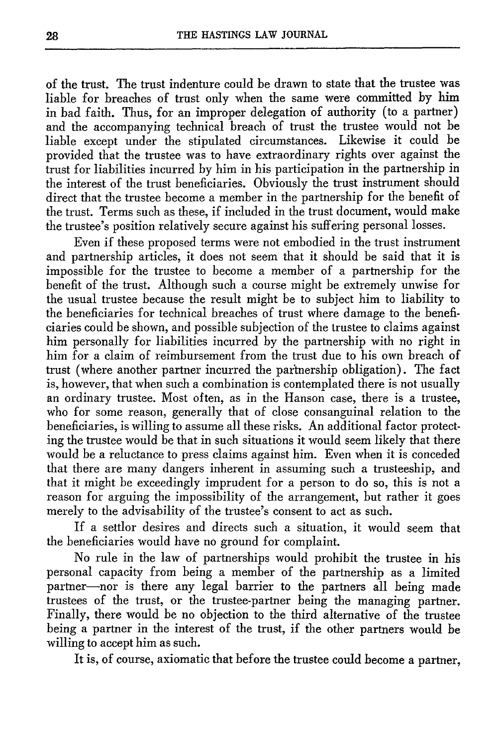of the trust. The trust indenture could be drawn to state that the trustee was liable for breaches of trust only when the same were committed by him in bad faith. Thus, for an improper delegation of authority (to a partner) and the accompanying technical breach of trust the trustee would not be liable except under the stipulated circumstances. Likewise it could be provided that the trustee was to have extraordinary rights over against the trust for liabilities incurred by him in his participation in the partnership in the interest of the trust beneficiaries. Obviously the trust instrument should direct that the trustee become a member in the partnership for the benefit of the trust. Terms such as these, if included in the trust document, would make the trustee's position relatively secure against his suffering personal losses.

Even if these proposed terms were not embodied in the trust instrument and partnership articles, it does not seem that it should be said that it is impossible for the trustee to become a member of a partnership for the benefit of the trust. Although such a course might be extremely unwise for the usual trustee because the result might be to subject him to liability to the beneficiaries for technical breaches of trust where damage to the beneficiaries could be shown, and possible subjection of the trustee to claims against him personally for liabilities incurred by the partnership with no right in him for a claim of reimbursement from the trust due to his own breach of trust (where another partner incurred the partnership obligation). The fact is, however, that when such a combination is contemplated there is not usually an ordinary trustee. Most often, as in the Hanson case, there is a trustee, who for some reason, generally that of close consanguinal relation to the beneficiaries, is willing to assume all these risks. An additional factor protecting the trustee would be that in such situations it would seem likely that there would be a reluctance to press claims against him. Even when it is conceded that there are many dangers inherent in assuming such a trusteeship, and that it might be exceedingly imprudent for a person to do so, this is not a reason for arguing the impossibility of the arrangement, but rather it goes merely to the advisability of the trustee's consent to act as such.

If a settlor desires and directs such a situation, it would seem that the beneficiaries would have no ground for complaint.

No rule in the law of partnerships would prohibit the trustee in his personal capacity from being a member of the partnership as a limited partner-nor is there any legal barrier to the partners all being made trustees of the trust, or the trustee-partner being the managing partner. Finally, there would be no objection to the third alternative of the trustee being a partner in the interest of the trust, if the other partners would be willing to accept him as such.

It is, of course, axiomatic that before the trustee could become a partner,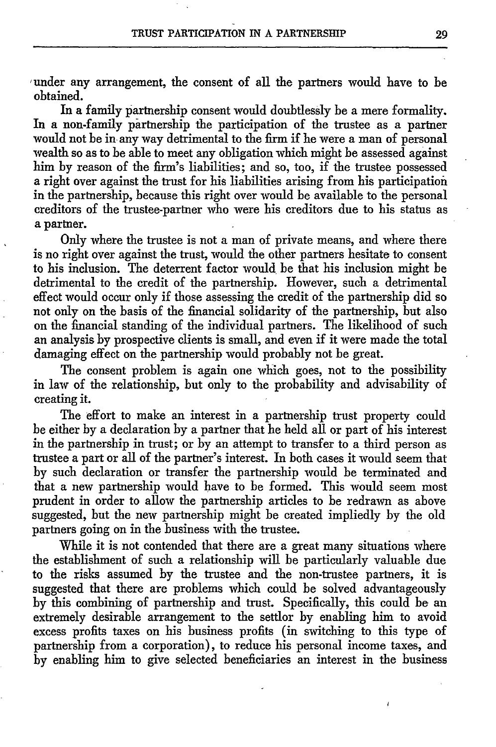under any arrangement, the consent of all the partners would have to be obtained.

In a family partnership consent would doubtlessly be a mere formality. In a non-family partnership the participation of the trustee as a partner would not be in any way detrimental to the firm if he were a man of personal wealth so as to be able to meet any obligation which might be assessed against him by reason of the firm's liabilities; and so, too, if the trustee possessed a right over against the trust for his liabilities arising from his participation in the partnership, because this right over would be available to the personal creditors of the trustee-partner who were his creditors due to his status as a partner.

Only where the trustee is not a man of private means, and where there is no right over against the trust, would the other partners hesitate to consent to his inclusion. The deterrent factor would be that his inclusion might be detrimental to the credit of the partnership. However, such a detrimental effect would occur only if those assessing the credit of the partnership did so not only on the basis of the financial solidarity of the partnership, but also on the financial standing of the individual partners. The likelihood of such an analysis by prospective clients is small, and even if it were made the total damaging effect on the partnership would probably not be great.

The consent problem is again one which goes, not to the possibility in law of the relationship, but only to the probability and advisability of creating it.

The effort to make an interest in a partnership trust property could be either by a declaration by a partner that he held all or part of his interest in the partnership in trust; or by an attempt to transfer to a third person as trustee a part or all of the partner's interest. In both cases it would seem that by such declaration or transfer the partnership would be terminated and that a new partnership would have to be formed. This would seem most prudent in order to allow the partnership articles to be redrawn as above suggested, but the new partnership might be created impliedly by the old partners going on in the business with the trustee.

While it is not contended that there are a great many situations where the establishment of such a relationship will be particularly valuable due to the risks assumed by the trustee and the non-trustee partners, it is suggested that there are problems which could be solved advantageously by this combining of partnership and trust. Specifically, this could be an extremely desirable arrangement to the settlor by enabling him to avoid excess profits taxes on his business profits (in switching to this type of partnership from a corporation), to reduce his personal income taxes, and by enabling him to give selected beneficiaries an interest in the business